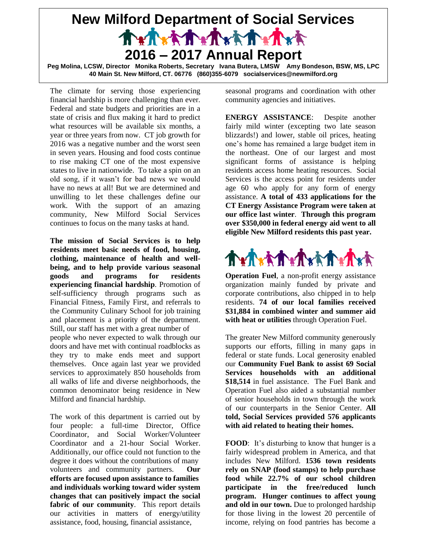

**40 Main St. New Milford, CT. 06776 (860)355-6079 socialservices@newmilford.org**

The climate for serving those experiencing financial hardship is more challenging than ever. Federal and state budgets and priorities are in a state of crisis and flux making it hard to predict what resources will be available six months, a year or three years from now. CT job growth for 2016 was a negative number and the worst seen in seven years. Housing and food costs continue to rise making CT one of the most expensive states to live in nationwide. To take a spin on an old song, if it wasn't for bad news we would have no news at all! But we are determined and unwilling to let these challenges define our work. With the support of an amazing community, New Milford Social Services continues to focus on the many tasks at hand.

**The mission of Social Services is to help residents meet basic needs of food, housing, clothing, maintenance of health and wellbeing, and to help provide various seasonal goods and programs for residents experiencing financial hardship**. Promotion of self-sufficiency through programs such as Financial Fitness, Family First, and referrals to the Community Culinary School for job training and placement is a priority of the department. Still, our staff has met with a great number of people who never expected to walk through our doors and have met with continual roadblocks as

they try to make ends meet and support themselves. Once again last year we provided services to approximately 850 households from all walks of life and diverse neighborhoods, the common denominator being residence in New Milford and financial hardship.

The work of this department is carried out by four people: a full-time Director, Office Coordinator, and Social Worker/Volunteer Coordinator and a 21-hour Social Worker. Additionally, our office could not function to the degree it does without the contributions of many volunteers and community partners. **Our efforts are focused upon assistance to families and individuals working toward wider system changes that can positively impact the social fabric of our community**. This report details our activities in matters of energy/utility assistance, food, housing, financial assistance,

seasonal programs and coordination with other community agencies and initiatives.

**ENERGY ASSISTANCE**: Despite another fairly mild winter (excepting two late season blizzards!) and lower, stable oil prices, heating one's home has remained a large budget item in the northeast. One of our largest and most significant forms of assistance is helping residents access home heating resources. Social Services is the access point for residents under age 60 who apply for any form of energy assistance. **A total of 433 applications for the CT Energy Assistance Program were taken at our office last winter**. **Through this program over \$350,000 in federal energy aid went to all eligible New Milford residents this past year.**



**Operation Fuel**, a non-profit energy assistance organization mainly funded by private and corporate contributions, also chipped in to help residents. **74 of our local families received \$31,884 in combined winter and summer aid with heat or utilities** through Operation Fuel.

The greater New Milford community generously supports our efforts, filling in many gaps in federal or state funds. Local generosity enabled our **Community Fuel Bank to assist 69 Social Services households with an additional \$18,514** in fuel assistance. The Fuel Bank and Operation Fuel also aided a substantial number of senior households in town through the work of our counterparts in the Senior Center. **All told, Social Services provided 576 applicants with aid related to heating their homes.**

**FOOD**: It's disturbing to know that hunger is a fairly widespread problem in America, and that includes New Milford. **1536 town residents rely on SNAP (food stamps) to help purchase food while 22.7% of our school children participate in the free/reduced lunch program. Hunger continues to affect young and old in our town.** Due to prolonged hardship for those living in the lowest 20 percentile of income, relying on food pantries has become a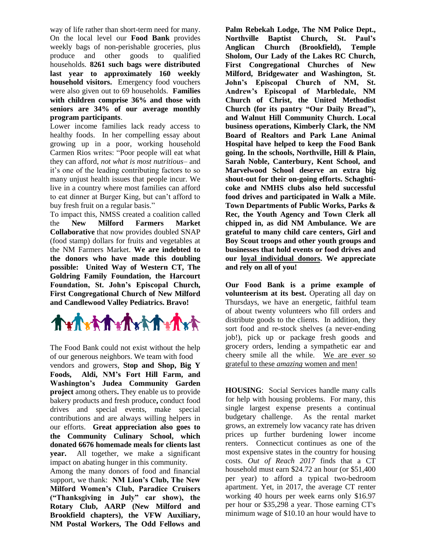way of life rather than short-term need for many. On the local level our **Food Bank** provides weekly bags of non-perishable groceries, plus produce and other goods to qualified households. **8261 such bags were distributed last year to approximately 160 weekly household visitors.** Emergency food vouchers were also given out to 69 households. **Families with children comprise 36% and those with seniors are 34% of our average monthly program participants**.

Lower income families lack ready access to healthy foods. In her compelling essay about growing up in a poor, working household Carmen Rios writes: "Poor people will eat what they can afford, *[not what is most nutritious](http://everydayfeminism.com/2014/09/classism-of-eating-healthy/)*– and it's one of the leading contributing factors to so many unjust health issues that people incur. We live in a country where most families can afford to eat dinner at Burger King, but can't afford to buy fresh fruit on a regular basis."

To impact this, NMSS created a coalition called<br>the **New Milford Farmers Market** the **New Milford Farmers Market Collaborative** that now provides doubled SNAP (food stamp) dollars for fruits and vegetables at the NM Farmers Market. **We are indebted to the donors who have made this doubling possible: United Way of Western CT, The Goldring Family Foundation, the Harcourt Foundation, St. John's Episcopal Church, First Congregational Church of New Milford and Candlewood Valley Pediatrics. Bravo!**



The Food Bank could not exist without the help of our generous neighbors. We team with food vendors and growers, **Stop and Shop, Big Y Foods, Aldi, NM's Fort Hill Farm, and Washington's Judea Community Garden project** among others**.** They enable us to provide bakery products and fresh produce**,** conduct food drives and special events, make special contributions and are always willing helpers in our efforts. **Great appreciation also goes to the Community Culinary School, which donated 6676 homemade meals for clients last year.** All together, we make a significant impact on abating hunger in this community.

Among the many donors of food and financial support, we thank: **NM Lion's Club, The New Milford Women's Club, Paradice Cruisers ("Thanksgiving in July" car show), the Rotary Club, AARP (New Milford and Brookfield chapters), the VFW Auxiliary, NM Postal Workers, The Odd Fellows and** 

**Palm Rebekah Lodge, The NM Police Dept., Northville Baptist Church, St. Paul's Anglican Church (Brookfield), Temple Sholom, Our Lady of the Lakes RC Church, First Congregational Churches of New Milford, Bridgewater and Washington, St. John's Episcopal Church of NM, St. Andrew's Episcopal of Marbledale, NM Church of Christ, the United Methodist Church (for its pantry "Our Daily Bread"), and Walnut Hill Community Church. Local business operations, Kimberly Clark, the NM Board of Realtors and Park Lane Animal Hospital have helped to keep the Food Bank going. In the schools, Northville, Hill & Plain, Sarah Noble, Canterbury, Kent School, and Marvelwood School deserve an extra big shout-out for their on-going efforts. Schaghticoke and NMHS clubs also held successful food drives and participated in Walk a Mile. Town Departments of Public Works, Parks & Rec, the Youth Agency and Town Clerk all chipped in, as did NM Ambulance. We are grateful to many child care centers, Girl and Boy Scout troops and other youth groups and businesses that hold events or food drives and our loyal individual donors. We appreciate and rely on all of you!**

**Our Food Bank is a prime example of volunteerism at its best.** Operating all day on Thursdays, we have an energetic, faithful team of about twenty volunteers who fill orders and distribute goods to the clients. In addition, they sort food and re-stock shelves (a never-ending job!), pick up or package fresh goods and grocery orders, lending a sympathetic ear and cheery smile all the while. We are ever so grateful to these *amazing* women and men!

**HOUSING**: Social Services handle many calls for help with housing problems. For many, this single largest expense presents a continual budgetary challenge. As the rental market grows, an extremely low vacancy rate has driven prices up further burdening lower income renters. Connecticut continues as one of the most expensive states in the country for housing costs. *Out of Reach 2017* finds that a CT household must earn \$24.72 an hour (or \$51,400 per year) to afford a typical two-bedroom apartment. Yet, in 2017, the average CT renter working 40 hours per week earns only \$16.97 per hour or \$35,298 a year. Those earning CT's minimum wage of \$10.10 an hour would have to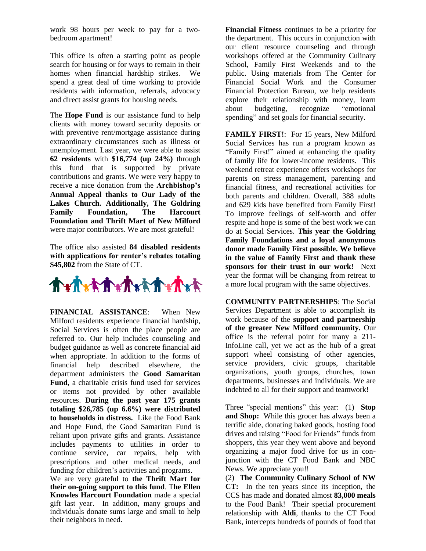work 98 hours per week to pay for a twobedroom apartment!

This office is often a starting point as people search for housing or for ways to remain in their homes when financial hardship strikes. We spend a great deal of time working to provide residents with information, referrals, advocacy and direct assist grants for housing needs.

The **Hope Fund** is our assistance fund to help clients with money toward security deposits or with preventive rent/mortgage assistance during extraordinary circumstances such as illness or unemployment. Last year, we were able to assist **62 residents** with **\$16,774 (up 24%)** through this fund that is supported by private contributions and grants. We were very happy to receive a nice donation from the **Archbishop's Annual Appeal thanks to Our Lady of the Lakes Church. Additionally, The Goldring Family Foundation, The Harcourt Foundation and Thrift Mart of New Milford** were major contributors. We are most grateful!

The office also assisted **84 disabled residents with applications for renter's rebates totaling \$45,802** from the State of CT.



**FINANCIAL ASSISTANCE**: When New Milford residents experience financial hardship, Social Services is often the place people are referred to. Our help includes counseling and budget guidance as well as concrete financial aid when appropriate. In addition to the forms of financial help described elsewhere, the department administers the **Good Samaritan Fund**, a charitable crisis fund used for services or items not provided by other available resources. **During the past year 175 grants totaling \$26,785 (up 6.6%) were distributed to households in distress.** Like the Food Bank and Hope Fund, the Good Samaritan Fund is reliant upon private gifts and grants. Assistance includes payments to utilities in order to continue service, car repairs, help with prescriptions and other medical needs, and funding for children's activities and programs.

We are very grateful to **the Thrift Mart for their on-going support to this fund**. T**he Ellen Knowles Harcourt Foundation** made a special gift last year. In addition, many groups and individuals donate sums large and small to help their neighbors in need.

**Financial Fitness** continues to be a priority for the department. This occurs in conjunction with our client resource counseling and through workshops offered at the Community Culinary School, Family First Weekends and to the public. Using materials from The Center for Financial Social Work and the Consumer Financial Protection Bureau, we help residents explore their relationship with money, learn about budgeting, recognize "emotional spending" and set goals for financial security.

FAMILY FIRST!: For 15 years, New Milford Social Services has run a program known as "Family First!" aimed at enhancing the quality of family life for lower-income residents. This weekend retreat experience offers workshops for parents on stress management, parenting and financial fitness, and recreational activities for both parents and children. Overall, 388 adults and 629 kids have benefited from Family First! To improve feelings of self-worth and offer respite and hope is some of the best work we can do at Social Services. **This year the Goldring Family Foundations and a loyal anonymous donor made Family First possible. We believe in the value of Family First and thank these sponsors for their trust in our work!** Next year the format will be changing from retreat to a more local program with the same objectives.

**COMMUNITY PARTNERSHIPS**: The Social Services Department is able to accomplish its work because of the **support and partnership of the greater New Milford community.** Our office is the referral point for many a 211- InfoLine call, yet we act as the hub of a great support wheel consisting of other agencies, service providers, civic groups, charitable organizations, youth groups, churches, town departments, businesses and individuals. We are indebted to all for their support and teamwork!

Three "special mentions" this year: (1) **Stop and Shop:** While this grocer has always been a terrific aide, donating baked goods, hosting food drives and raising "Food for Friends" funds from shoppers, this year they went above and beyond organizing a major food drive for us in conjunction with the CT Food Bank and NBC News. We appreciate you!!

(2) **The Community Culinary School of NW CT:** In the ten years since its inception, the CCS has made and donated almost **83,000 meals** to the Food Bank! Their special procurement relationship with **Aldi**, thanks to the CT Food Bank, intercepts hundreds of pounds of food that